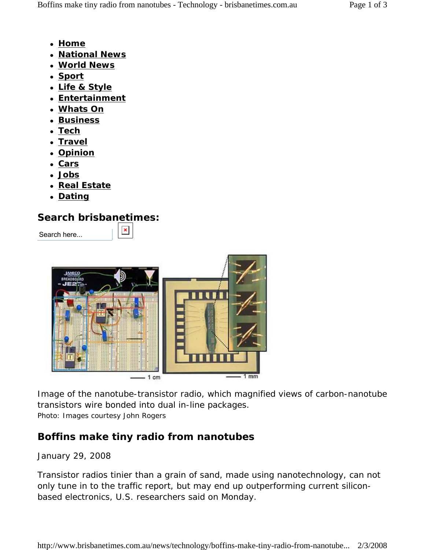- <sup>z</sup> **Home**
- <sup>z</sup> **National News**
- <sup>z</sup> **World News**
- <sup>z</sup> **Sport**
- <sup>z</sup> **Life & Style**
- <sup>z</sup> **Entertainment**
- <sup>z</sup> **Whats On**
- <sup>z</sup> **Business**
- <sup>z</sup> **Tech**
- <sup>z</sup> **Travel**
- <sup>z</sup> **Opinion**
- <sup>z</sup> **Cars**
- <sup>z</sup> **Jobs**
- **Real Estate**
- <sup>z</sup> **Dating**

## **Search brisbanetimes:**

Search here...



Image of the nanotube-transistor radio, which magnified views of carbon-nanotube transistors wire bonded into dual in-line packages. Photo: *Images courtesy John Rogers*

## **Boffins make tiny radio from nanotubes**

## January 29, 2008

Transistor radios tinier than a grain of sand, made using nanotechnology, can not only tune in to the traffic report, but may end up outperforming current siliconbased electronics, U.S. researchers said on Monday.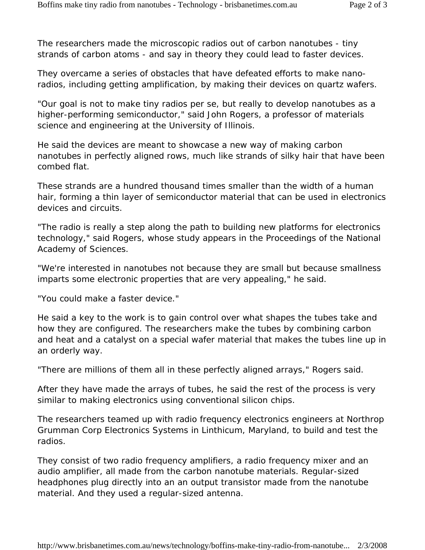The researchers made the microscopic radios out of carbon nanotubes - tiny strands of carbon atoms - and say in theory they could lead to faster devices.

They overcame a series of obstacles that have defeated efforts to make nanoradios, including getting amplification, by making their devices on quartz wafers.

"Our goal is not to make tiny radios per se, but really to develop nanotubes as a higher-performing semiconductor," said John Rogers, a professor of materials science and engineering at the University of Illinois.

He said the devices are meant to showcase a new way of making carbon nanotubes in perfectly aligned rows, much like strands of silky hair that have been combed flat.

These strands are a hundred thousand times smaller than the width of a human hair, forming a thin layer of semiconductor material that can be used in electronics devices and circuits.

"The radio is really a step along the path to building new platforms for electronics technology," said Rogers, whose study appears in the Proceedings of the National Academy of Sciences.

"We're interested in nanotubes not because they are small but because smallness imparts some electronic properties that are very appealing," he said.

"You could make a faster device."

He said a key to the work is to gain control over what shapes the tubes take and how they are configured. The researchers make the tubes by combining carbon and heat and a catalyst on a special wafer material that makes the tubes line up in an orderly way.

"There are millions of them all in these perfectly aligned arrays," Rogers said.

After they have made the arrays of tubes, he said the rest of the process is very similar to making electronics using conventional silicon chips.

The researchers teamed up with radio frequency electronics engineers at Northrop Grumman Corp Electronics Systems in Linthicum, Maryland, to build and test the radios.

They consist of two radio frequency amplifiers, a radio frequency mixer and an audio amplifier, all made from the carbon nanotube materials. Regular-sized headphones plug directly into an an output transistor made from the nanotube material. And they used a regular-sized antenna.